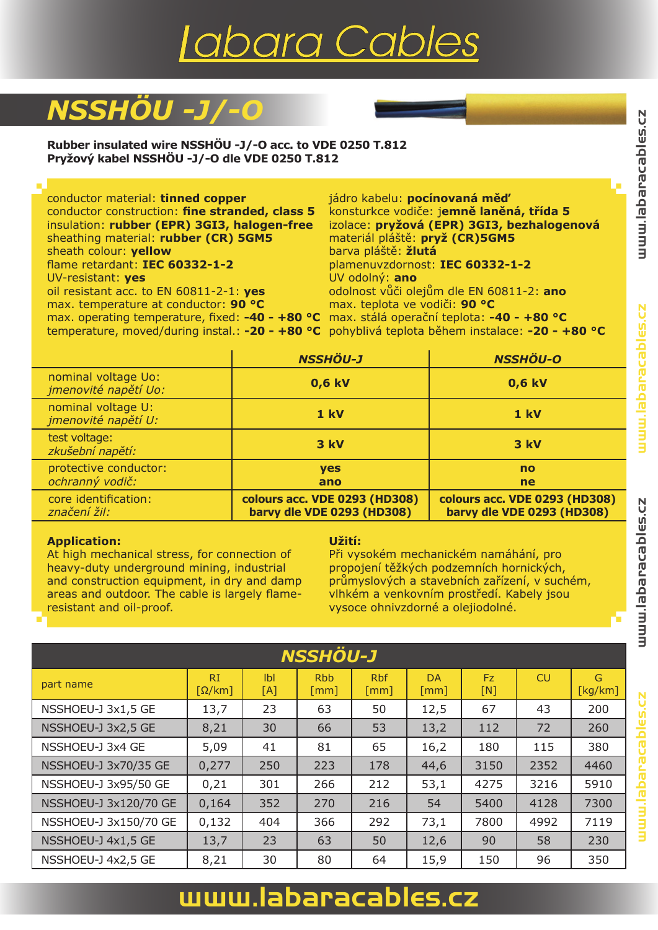# Iabara Cables

## *NSSHÖU -J/-O*

**Rubber insulated wire NSSHÖU -J/-O acc. to VDE 0250 T.812 Pryžový kabel NSSHÖU -J/-O dle VDE 0250 T.812**

conductor material: **tinned copper** jádro kabelu: **pocínovaná měď** conductor construction: **fine stranded, class 5** sheathing material: **rubber (CR) 5GM5** materiál pláště: **pryž (CR)5GM5** sheath colour: **yellow** barva pláště: **žlutá** flame retardant: **IEC 60332-1-2** plamenuvzdornost: **IEC 60332-1-2** UV-resistant: **yes** UV odolný: **ano** oil resistant acc. to EN 60811-2-1: **yes** odolnost vůči olejům dle EN 60811-2: **ano** max. temperature at conductor: **90 °C** max. teplota ve vodiči: **90 °C** max. operating temperature, fixed: **-40 - +80 °C** max. stálá operační teplota: **-40 - +80 °C**

insulation: **rubber (EPR) 3GI3, halogen-free** izolace: **pryžová (EPR) 3GI3, bezhalogenová** temperature, moved/during instal.: **-20 - +80 °C** pohyblivá teplota během instalace: **-20 - +80 °C**

|                                             | <b>NSSHÖU-J</b>                                             | <b>NSSHÖU-O</b>                                             |
|---------------------------------------------|-------------------------------------------------------------|-------------------------------------------------------------|
| nominal voltage Uo:<br>jmenovité napětí Uo: | 0,6 kV                                                      | 0,6 kV                                                      |
| nominal voltage U:<br>jmenovité napětí U:   | 1 kV                                                        | 1 kV                                                        |
| test voltage:<br>zkušební napětí:           | 3 kV                                                        | 3 kV                                                        |
| protective conductor:<br>ochranný vodič:    | <b>yes</b><br>ano                                           | no<br><sub>ne</sub>                                         |
| core identification:<br>značení žil:        | colours acc. VDE 0293 (HD308)<br>barvy dle VDE 0293 (HD308) | colours acc. VDE 0293 (HD308)<br>barvy dle VDE 0293 (HD308) |

### **Application:**

At high mechanical stress, for connection of heavy-duty underground mining, industrial and construction equipment, in dry and damp areas and outdoor. The cable is largely flameresistant and oil-proof.

### **Užití:**

Při vysokém mechanickém namáhání, pro propojení těžkých podzemních hornických, průmyslových a stavebních zařízení, v suchém, vlhkém a venkovním prostředí. Kabely jsou vysoce ohnivzdorné a olejiodolné.

| <b>NSSHÖU-J</b>       |                                                 |                         |                                  |                    |                                   |                  |           |              |
|-----------------------|-------------------------------------------------|-------------------------|----------------------------------|--------------------|-----------------------------------|------------------|-----------|--------------|
| part name             | <b>RI</b><br>$\lceil \Omega / \text{km} \rceil$ | I <sub>b</sub> I<br>[A] | <b>Rbb</b><br>$\lceil mm \rceil$ | <b>Rbf</b><br>[mm] | <b>DA</b><br>$\lceil$ mm $\rceil$ | <b>Fz</b><br>[N] | <b>CU</b> | G<br>[kg/km] |
| NSSHOEU-J 3x1,5 GE    | 13,7                                            | 23                      | 63                               | 50                 | 12,5                              | 67               | 43        | 200          |
| NSSHOEU-J 3x2,5 GE    | 8,21                                            | 30                      | 66                               | 53                 | 13,2                              | 112              | 72        | 260          |
| NSSHOEU-J 3x4 GE      | 5,09                                            | 41                      | 81                               | 65                 | 16,2                              | 180              | 115       | 380          |
| NSSHOEU-J 3x70/35 GE  | 0,277                                           | 250                     | 223                              | 178                | 44,6                              | 3150             | 2352      | 4460         |
| NSSHOEU-J 3x95/50 GE  | 0,21                                            | 301                     | 266                              | 212                | 53,1                              | 4275             | 3216      | 5910         |
| NSSHOEU-J 3x120/70 GE | 0,164                                           | 352                     | 270                              | 216                | 54                                | 5400             | 4128      | 7300         |
| NSSHOEU-J 3x150/70 GE | 0,132                                           | 404                     | 366                              | 292                | 73,1                              | 7800             | 4992      | 7119         |
| NSSHOEU-J 4x1,5 GE    | 13,7                                            | 23                      | 63                               | 50                 | 12,6                              | 90               | 58        | 230          |
| NSSHOEU-J 4x2,5 GE    | 8,21                                            | 30                      | 80                               | 64                 | 15,9                              | 150              | 96        | 350          |

### www.labaracables.cz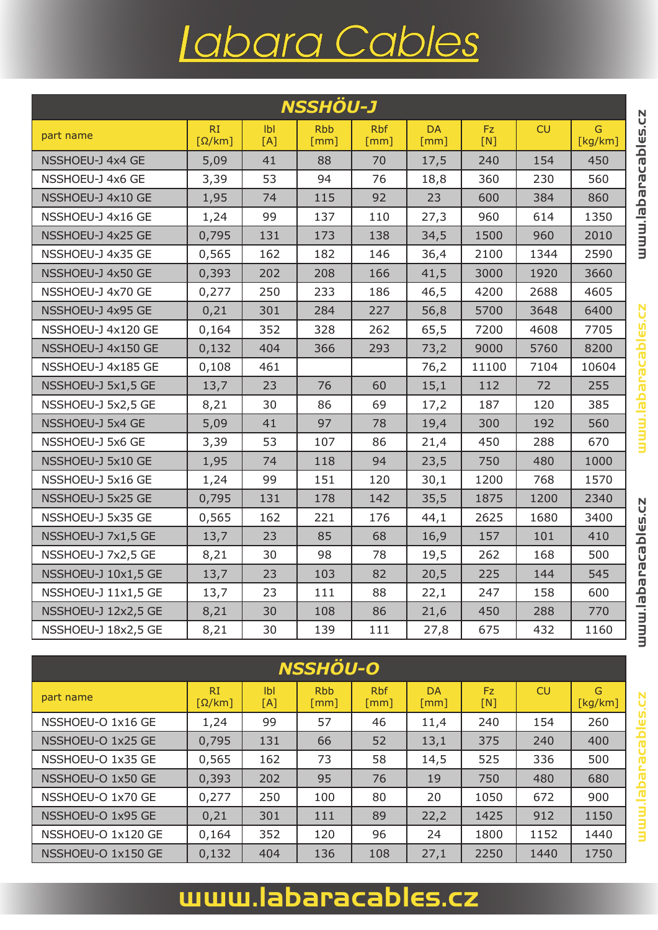# Iabara Cables

| <b>NSSHÖU-J</b>     |                     |                         |                                  |                    |                   |            |      |              |
|---------------------|---------------------|-------------------------|----------------------------------|--------------------|-------------------|------------|------|--------------|
| part name           | RI<br>$[\Omega/km]$ | I <sub>b</sub> I<br>[A] | <b>Rbb</b><br>$\lceil mm \rceil$ | <b>Rbf</b><br>[mm] | <b>DA</b><br>[mm] | Fz.<br>[N] | CU   | G<br>[kg/km] |
| NSSHOEU-J 4x4 GE    | 5,09                | 41                      | 88                               | 70                 | 17,5              | 240        | 154  | 450          |
| NSSHOEU-J 4x6 GE    | 3,39                | 53                      | 94                               | 76                 | 18,8              | 360        | 230  | 560          |
| NSSHOEU-J 4x10 GE   | 1,95                | 74                      | 115                              | 92                 | 23                | 600        | 384  | 860          |
| NSSHOEU-J 4x16 GE   | 1,24                | 99                      | 137                              | 110                | 27,3              | 960        | 614  | 1350         |
| NSSHOEU-J 4x25 GE   | 0,795               | 131                     | 173                              | 138                | 34,5              | 1500       | 960  | 2010         |
| NSSHOEU-J 4x35 GE   | 0,565               | 162                     | 182                              | 146                | 36,4              | 2100       | 1344 | 2590         |
| NSSHOEU-J 4x50 GE   | 0,393               | 202                     | 208                              | 166                | 41,5              | 3000       | 1920 | 3660         |
| NSSHOEU-J 4x70 GE   | 0,277               | 250                     | 233                              | 186                | 46,5              | 4200       | 2688 | 4605         |
| NSSHOEU-J 4x95 GE   | 0,21                | 301                     | 284                              | 227                | 56,8              | 5700       | 3648 | 6400         |
| NSSHOEU-J 4x120 GE  | 0,164               | 352                     | 328                              | 262                | 65,5              | 7200       | 4608 | 7705         |
| NSSHOEU-J 4x150 GE  | 0,132               | 404                     | 366                              | 293                | 73,2              | 9000       | 5760 | 8200         |
| NSSHOEU-J 4x185 GE  | 0,108               | 461                     |                                  |                    | 76,2              | 11100      | 7104 | 10604        |
| NSSHOEU-J 5x1,5 GE  | 13,7                | 23                      | 76                               | 60                 | 15,1              | 112        | 72   | 255          |
| NSSHOEU-J 5x2,5 GE  | 8,21                | 30                      | 86                               | 69                 | 17,2              | 187        | 120  | 385          |
| NSSHOEU-J 5x4 GE    | 5,09                | 41                      | 97                               | 78                 | 19,4              | 300        | 192  | 560          |
| NSSHOEU-J 5x6 GE    | 3,39                | 53                      | 107                              | 86                 | 21,4              | 450        | 288  | 670          |
| NSSHOEU-J 5x10 GE   | 1,95                | 74                      | 118                              | 94                 | 23,5              | 750        | 480  | 1000         |
| NSSHOEU-J 5x16 GE   | 1,24                | 99                      | 151                              | 120                | 30,1              | 1200       | 768  | 1570         |
| NSSHOEU-J 5x25 GE   | 0,795               | 131                     | 178                              | 142                | 35,5              | 1875       | 1200 | 2340         |
| NSSHOEU-J 5x35 GE   | 0,565               | 162                     | 221                              | 176                | 44,1              | 2625       | 1680 | 3400         |
| NSSHOEU-J 7x1,5 GE  | 13,7                | 23                      | 85                               | 68                 | 16,9              | 157        | 101  | 410          |
| NSSHOEU-J 7x2,5 GE  | 8,21                | 30                      | 98                               | 78                 | 19,5              | 262        | 168  | 500          |
| NSSHOEU-J 10x1,5 GE | 13,7                | 23                      | 103                              | 82                 | 20,5              | 225        | 144  | 545          |
| NSSHOEU-J 11x1,5 GE | 13,7                | 23                      | 111                              | 88                 | 22,1              | 247        | 158  | 600          |
| NSSHOEU-J 12x2,5 GE | 8,21                | 30                      | 108                              | 86                 | 21,6              | 450        | 288  | 770          |
| NSSHOEU-J 18x2,5 GE | 8,21                | 30                      | 139                              | 111                | 27,8              | 675        | 432  | 1160         |

| <b>NSSHÖU-O</b>    |                                              |                       |                                  |                                    |            |                  |           |              |
|--------------------|----------------------------------------------|-----------------------|----------------------------------|------------------------------------|------------|------------------|-----------|--------------|
| part name          | <b>RI</b><br>$\lceil \Omega/{\sf km} \rceil$ | I <sub>b</sub><br>[A] | <b>Rbb</b><br>$\lceil mm \rceil$ | <b>Rbf</b><br>$\lceil$ mm $\rceil$ | DA<br>[mm] | <b>Fz</b><br>[N] | <b>CU</b> | G<br>[kg/km] |
| NSSHOEU-O 1x16 GE  | 1,24                                         | 99                    | 57                               | 46                                 | 11,4       | 240              | 154       | 260          |
| NSSHOEU-O 1x25 GE  | 0,795                                        | 131                   | 66                               | 52                                 | 13,1       | 375              | 240       | 400          |
| NSSHOEU-O 1x35 GE  | 0,565                                        | 162                   | 73                               | 58                                 | 14,5       | 525              | 336       | 500          |
| NSSHOEU-O 1x50 GE  | 0,393                                        | 202                   | 95                               | 76                                 | 19         | 750              | 480       | 680          |
| NSSHOEU-O 1x70 GE  | 0,277                                        | 250                   | 100                              | 80                                 | 20         | 1050             | 672       | 900          |
| NSSHOEU-O 1x95 GE  | 0,21                                         | 301                   | 111                              | 89                                 | 22,2       | 1425             | 912       | 1150         |
| NSSHOEU-O 1x120 GE | 0,164                                        | 352                   | 120                              | 96                                 | 24         | 1800             | 1152      | 1440         |
| NSSHOEU-O 1x150 GE | 0,132                                        | 404                   | 136                              | 108                                | 27,1       | 2250             | 1440      | 1750         |

### www.labaracables.cz